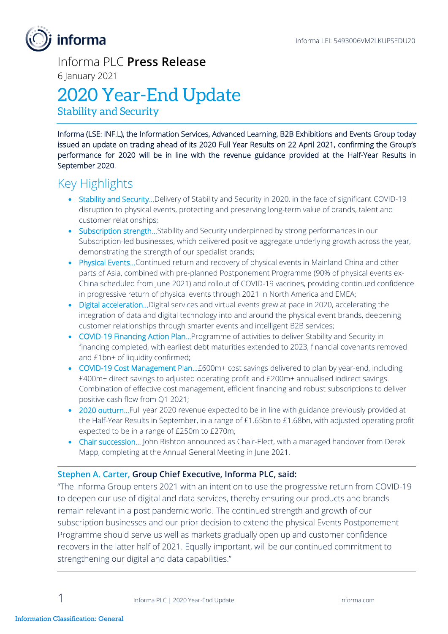# **informa**

Informa PLC **Press Release**

6 January 2021

# 2020 Year-End Update

Stability and Security

Informa (LSE: INF.L), the Information Services, Advanced Learning, B2B Exhibitions and Events Group today issued an update on trading ahead of its 2020 Full Year Results on 22 April 2021, confirming the Group's performance for 2020 will be in line with the revenue guidance provided at the Half-Year Results in September 2020.

## Key Highlights

- Stability and Security...Delivery of Stability and Security in 2020, in the face of significant COVID-19 disruption to physical events, protecting and preserving long-term value of brands, talent and customer relationships;
- Subscription strength...Stability and Security underpinned by strong performances in our Subscription-led businesses, which delivered positive aggregate underlying growth across the year, demonstrating the strength of our specialist brands;
- Physical Events…Continued return and recovery of physical events in Mainland China and other parts of Asia, combined with pre-planned Postponement Programme (90% of physical events ex-China scheduled from June 2021) and rollout of COVID-19 vaccines, providing continued confidence in progressive return of physical events through 2021 in North America and EMEA;
- Digital acceleration... Digital services and virtual events grew at pace in 2020, accelerating the integration of data and digital technology into and around the physical event brands, deepening customer relationships through smarter events and intelligent B2B services;
- COVID-19 Financing Action Plan... Programme of activities to deliver Stability and Security in financing completed, with earliest debt maturities extended to 2023, financial covenants removed and £1bn+ of liquidity confirmed;
- COVID-19 Cost Management Plan…£600m+ cost savings delivered to plan by year-end, including £400m+ direct savings to adjusted operating profit and £200m+ annualised indirect savings. Combination of effective cost management, efficient financing and robust subscriptions to deliver positive cash flow from Q1 2021;
- 2020 outturn...Full year 2020 revenue expected to be in line with guidance previously provided at the Half-Year Results in September, in a range of £1.65bn to £1.68bn, with adjusted operating profit expected to be in a range of £250m to £270m;
- Chair succession... John Rishton announced as Chair-Elect, with a managed handover from Derek Mapp, completing at the Annual General Meeting in June 2021.

### **Stephen A. Carter, Group Chief Executive, Informa PLC, said:**

"The Informa Group enters 2021 with an intention to use the progressive return from COVID-19 to deepen our use of digital and data services, thereby ensuring our products and brands remain relevant in a post pandemic world. The continued strength and growth of our subscription businesses and our prior decision to extend the physical Events Postponement Programme should serve us well as markets gradually open up and customer confidence recovers in the latter half of 2021. Equally important, will be our continued commitment to strengthening our digital and data capabilities."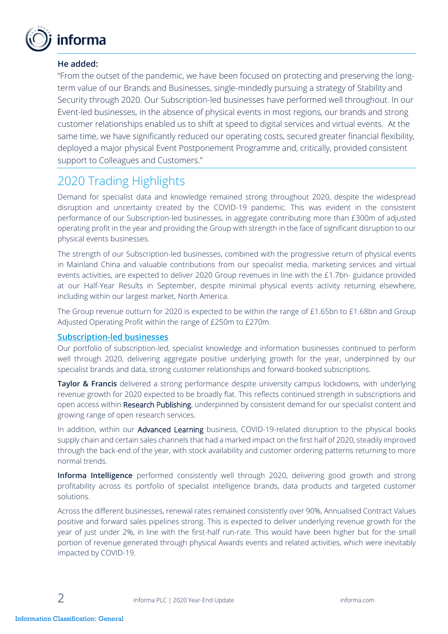

### **He added:**

"From the outset of the pandemic, we have been focused on protecting and preserving the longterm value of our Brands and Businesses, single-mindedly pursuing a strategy of Stability and Security through 2020. Our Subscription-led businesses have performed well throughout. In our Event-led businesses, in the absence of physical events in most regions, our brands and strong customer relationships enabled us to shift at speed to digital services and virtual events. At the same time, we have significantly reduced our operating costs, secured greater financial flexibility, deployed a major physical Event Postponement Programme and, critically, provided consistent support to Colleagues and Customers."

## 2020 Trading Highlights

Demand for specialist data and knowledge remained strong throughout 2020, despite the widespread disruption and uncertainty created by the COVID-19 pandemic. This was evident in the consistent performance of our Subscription-led businesses, in aggregate contributing more than £300m of adjusted operating profit in the year and providing the Group with strength in the face of significant disruption to our physical events businesses.

The strength of our Subscription-led businesses, combined with the progressive return of physical events in Mainland China and valuable contributions from our specialist media, marketing services and virtual events activities, are expected to deliver 2020 Group revenues in line with the £1.7bn- guidance provided at our Half-Year Results in September, despite minimal physical events activity returning elsewhere, including within our largest market, North America.

The Group revenue outturn for 2020 is expected to be within the range of £1.65bn to £1.68bn and Group Adjusted Operating Profit within the range of £250m to £270m.

#### **Subscription-led businesses**

Our portfolio of subscription-led, specialist knowledge and information businesses continued to perform well through 2020, delivering aggregate positive underlying growth for the year, underpinned by our specialist brands and data, strong customer relationships and forward-booked subscriptions.

**Taylor & Francis** delivered a strong performance despite university campus lockdowns, with underlying revenue growth for 2020 expected to be broadly flat. This reflects continued strength in subscriptions and open access within Research Publishing, underpinned by consistent demand for our specialist content and growing range of open research services.

In addition, within our Advanced Learning business, COVID-19-related disruption to the physical books supply chain and certain sales channels that had a marked impact on the first half of 2020, steadily improved through the back-end of the year, with stock availability and customer ordering patterns returning to more normal trends.

**Informa Intelligence** performed consistently well through 2020, delivering good growth and strong profitability across its portfolio of specialist intelligence brands, data products and targeted customer solutions.

Across the different businesses, renewal rates remained consistently over 90%, Annualised Contract Values positive and forward sales pipelines strong. This is expected to deliver underlying revenue growth for the year of just under 2%, in line with the first-half run-rate. This would have been higher but for the small portion of revenue generated through physical Awards events and related activities, which were inevitably impacted by COVID-19.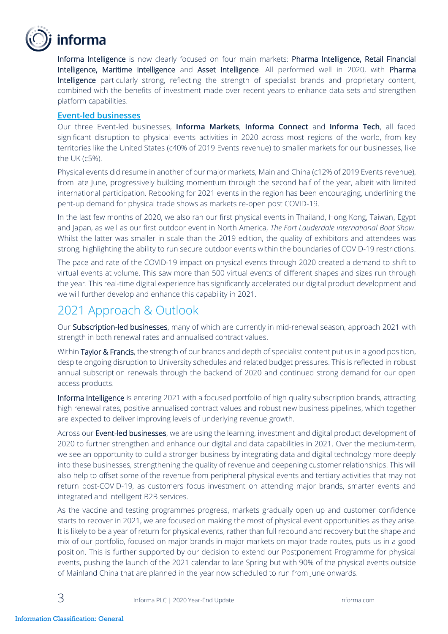

Informa Intelligence is now clearly focused on four main markets: Pharma Intelligence, Retail Financial Intelligence, Maritime Intelligence and Asset Intelligence. All performed well in 2020, with Pharma Intelligence particularly strong, reflecting the strength of specialist brands and proprietary content, combined with the benefits of investment made over recent years to enhance data sets and strengthen platform capabilities.

#### **Event-led businesses**

Our three Event-led businesses, **Informa Markets**, **Informa Connect** and **Informa Tech**, all faced significant disruption to physical events activities in 2020 across most regions of the world, from key territories like the United States (c40% of 2019 Events revenue) to smaller markets for our businesses, like the UK (c5%).

Physical events did resume in another of our major markets, Mainland China (c12% of 2019 Events revenue), from late June, progressively building momentum through the second half of the year, albeit with limited international participation. Rebooking for 2021 events in the region has been encouraging, underlining the pent-up demand for physical trade shows as markets re-open post COVID-19.

In the last few months of 2020, we also ran our first physical events in Thailand, Hong Kong, Taiwan, Egypt and Japan, as well as our first outdoor event in North America, *The Fort Lauderdale International Boat Show*. Whilst the latter was smaller in scale than the 2019 edition, the quality of exhibitors and attendees was strong, highlighting the ability to run secure outdoor events within the boundaries of COVID-19 restrictions.

The pace and rate of the COVID-19 impact on physical events through 2020 created a demand to shift to virtual events at volume. This saw more than 500 virtual events of different shapes and sizes run through the year. This real-time digital experience has significantly accelerated our digital product development and we will further develop and enhance this capability in 2021.

## 2021 Approach & Outlook

Our Subscription-led businesses, many of which are currently in mid-renewal season, approach 2021 with strength in both renewal rates and annualised contract values.

Within Taylor & Francis, the strength of our brands and depth of specialist content put us in a good position, despite ongoing disruption to University schedules and related budget pressures. This is reflected in robust annual subscription renewals through the backend of 2020 and continued strong demand for our open access products.

Informa Intelligence is entering 2021 with a focused portfolio of high quality subscription brands, attracting high renewal rates, positive annualised contract values and robust new business pipelines, which together are expected to deliver improving levels of underlying revenue growth.

Across our Event-led businesses, we are using the learning, investment and digital product development of 2020 to further strengthen and enhance our digital and data capabilities in 2021. Over the medium-term, we see an opportunity to build a stronger business by integrating data and digital technology more deeply into these businesses, strengthening the quality of revenue and deepening customer relationships. This will also help to offset some of the revenue from peripheral physical events and tertiary activities that may not return post-COVID-19, as customers focus investment on attending major brands, smarter events and integrated and intelligent B2B services.

As the vaccine and testing programmes progress, markets gradually open up and customer confidence starts to recover in 2021, we are focused on making the most of physical event opportunities as they arise. It is likely to be a year of return for physical events, rather than full rebound and recovery but the shape and mix of our portfolio, focused on major brands in major markets on major trade routes, puts us in a good position. This is further supported by our decision to extend our Postponement Programme for physical events, pushing the launch of the 2021 calendar to late Spring but with 90% of the physical events outside of Mainland China that are planned in the year now scheduled to run from June onwards.